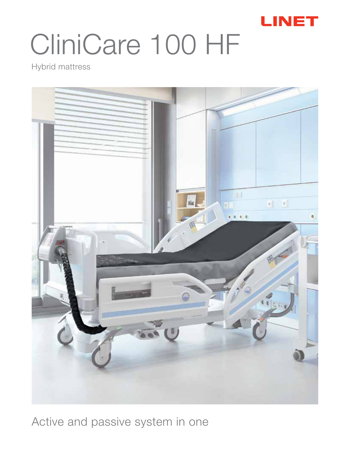

## CliniCare 100 HF

Hybrid mattress



Active and passive system in one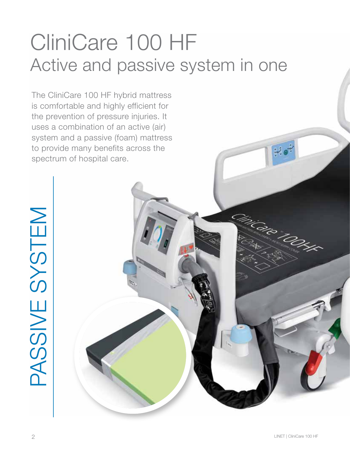## CliniCare 100 HF Active and passive system in one

The CliniCare 100 HF hybrid mattress is comfortable and highly efficient for the prevention of pressure injuries. It uses a combination of an active (air) system and a passive (foam) mattress to provide many benefits across the spectrum of hospital care.

# **MEJSASSNE** PASSIVE SYSTEM

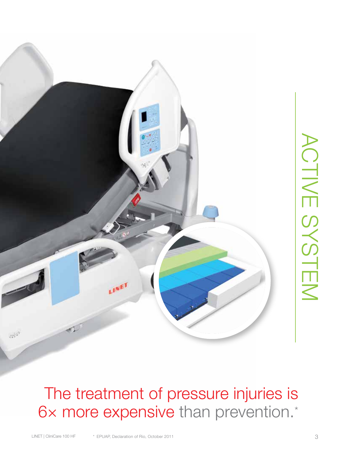

## The treatment of pressure injuries is 6× more expensive than prevention.\*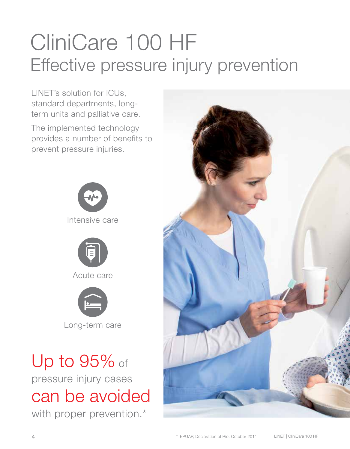## CliniCare 100 HF Effective pressure injury prevention

LINET's solution for ICUs, standard departments, longterm units and palliative care.

The implemented technology provides a number of benefits to prevent pressure injuries.





Acute care



Long-term care

### Up to 95% of pressure injury cases can be avoided with proper prevention.<sup>\*</sup>

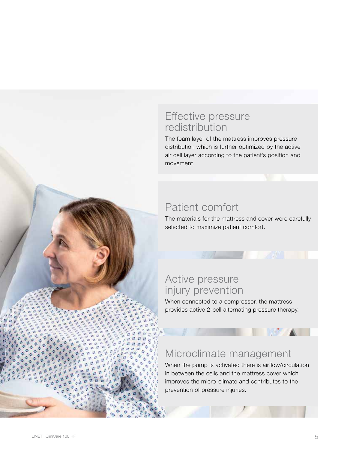#### Effective pressure redistribution

The foam layer of the mattress improves pressure distribution which is further optimized by the active air cell layer according to the patient's position and movement.

#### Patient comfort

The materials for the mattress and cover were carefully selected to maximize patient comfort.

#### Active pressure injury prevention

When connected to a compressor, the mattress provides active 2-cell alternating pressure therapy.

#### Microclimate management

When the pump is activated there is airflow/circulation in between the cells and the mattress cover which improves the micro-climate and contributes to the prevention of pressure injuries.

**A**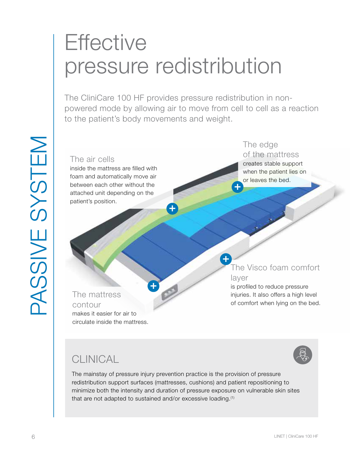## **Effective** pressure redistribution

The CliniCare 100 HF provides pressure redistribution in nonpowered mode by allowing air to move from cell to cell as a reaction to the patient's body movements and weight.



#### CLINICAL



The mainstay of pressure injury prevention practice is the provision of pressure redistribution support surfaces (mattresses, cushions) and patient repositioning to minimize both the intensity and duration of pressure exposure on vulnerable skin sites that are not adapted to sustained and/or excessive loading.(1)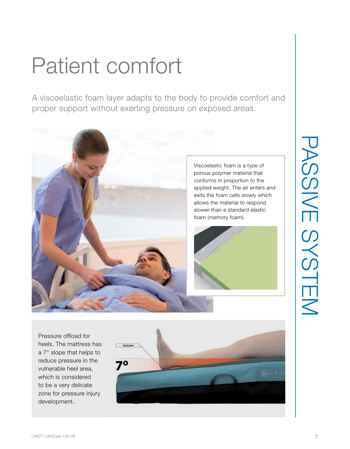## Patient comfort

A viscoelastic foam layer adapts to the body to provide comfort and proper support without exerting pressure on exposed areas.





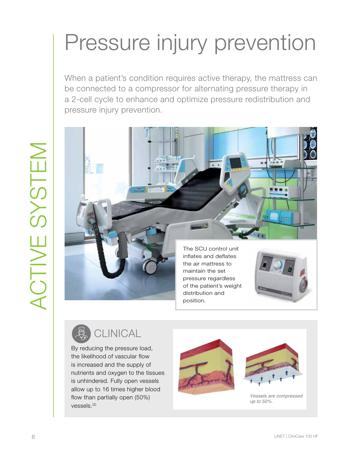## Pressure injury prevention

When a patient's condition requires active therapy, the mattress can be connected to a compressor for alternating pressure therapy in a 2-cell cycle to enhance and optimize pressure redistribution and pressure injury prevention.





By reducing the pressure load, the likelihood of vascular flow is increased and the supply of nutrients and oxygen to the tissues is unhindered. Fully open vessels allow up to 16 times higher blood flow than partially open (50%) vessels.(2)





*Vessels are compressed up to 50%.*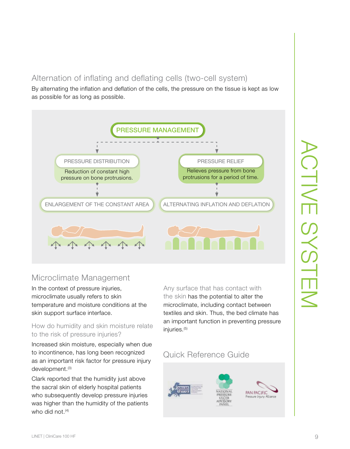#### Alternation of inflating and deflating cells (two-cell system)

By alternating the inflation and deflation of the cells, the pressure on the tissue is kept as low as possible for as long as possible.



#### Microclimate Management

In the context of pressure injuries, microclimate usually refers to skin temperature and moisture conditions at the skin support surface interface.

How do humidity and skin moisture relate to the risk of pressure injuries?

Increased skin moisture, especially when due to incontinence, has long been recognized as an important risk factor for pressure injury development.<sup>(3)</sup>

Clark reported that the humidity just above the sacral skin of elderly hospital patients who subsequently develop pressure injuries was higher than the humidity of the patients who did not. $(4)$ 

#### Any surface that has contact with the skin has the potential to alter the microclimate, including contact between textiles and skin. Thus, the bed climate has an important function in preventing pressure injuries.(5)

#### Quick Reference Guide

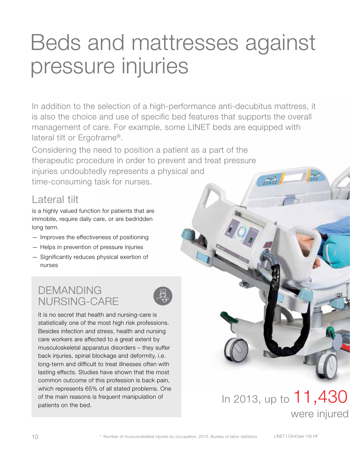## Beds and mattresses against pressure injuries

In addition to the selection of a high-performance anti-decubitus mattress, it is also the choice and use of specific bed features that supports the overall management of care. For example, some LINET beds are equipped with lateral tilt or Ergoframe®.

Considering the need to position a patient as a part of the therapeutic procedure in order to prevent and treat pressure injuries undoubtedly represents a physical and time-consuming task for nurses.

#### Lateral tilt

is a highly valued function for patients that are immobile, require daily care, or are bedridden long term.

- Improves the effectiveness of positioning
- Helps in prevention of pressure injuries
- Significantly reduces physical exertion of nurses

#### DEMANDING NURSING-CARE



It is no secret that health and nursing-care is statistically one of the most high risk professions. Besides infection and stress, health and nursing care workers are affected to a great extent by musculoskeletal apparatus disorders – they suffer back injuries, spinal blockage and deformity, i.e. long-term and difficult to treat illnesses often with lasting effects. Studies have shown that the most common outcome of this profession is back pain, which represents 65% of all stated problems. One of the main reasons is frequent manipulation of patients on the bed.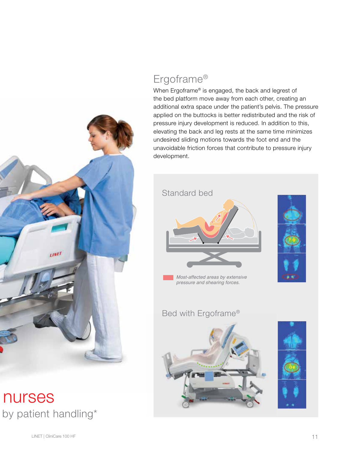

# **NUTSES**<br>by patient handling\*

#### Ergoframe®

When Ergoframe® is engaged, the back and legrest of the bed platform move away from each other, creating an additional extra space under the patient's pelvis. The pressure applied on the buttocks is better redistributed and the risk of pressure injury development is reduced. In addition to this, elevating the back and leg rests at the same time minimizes undesired sliding motions towards the foot end and the unavoidable friction forces that contribute to pressure injury development.